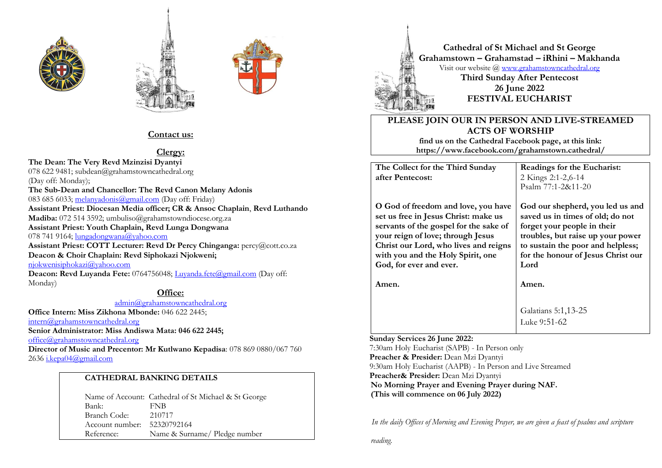





# **Contact us:**

# **Clergy:**

**The Dean: The Very Revd Mzinzisi Dyantyi** 078 622 9481; subdean@grahamstowncathedral.org (Day off: Monday); **The Sub-Dean and Chancellor: The Revd Canon Melany Adonis** 083 685 6033; [melanyadonis@gmail.com](mailto:melanyadonis@gmail.com) (Day off: Friday) **Assistant Priest: Diocesan Media officer; CR & Ansoc Chaplain**, **Revd Luthando Madiba:** 072 514 3592; umbuliso@grahamstowndiocese.org.za **Assistant Priest: Youth Chaplain, Revd Lunga Dongwana** 078 741 9164; [lungadongwana@yahoo.com](mailto:lungadongwana@yahoo.com) **Assistant Priest: COTT Lecturer: Revd Dr Percy Chinganga:** percy@cott.co.za **Deacon & Choir Chaplain: Revd Siphokazi Njokweni;** [njokwenisiphokazi@yahoo.com](mailto:njokwenisiphokazi@yahoo.com) Deacon: Revd Luyanda Fete: 0764756048; [Luyanda.fete@gmail.com](mailto:Luyanda.fete@gmail.com) (Day off: Monday)

## **Office:**

[admin@grahamstowncathedral.org](mailto:admin@grahamstowncathedral.org)

**Office Intern: Miss Zikhona Mbonde:** 046 622 2445;

[intern@grahamstowncathedral.org](mailto:intern@grahamstowncathedral.org)

**Senior Administrator: Miss Andiswa Mata: 046 622 2445;** 

[office@grahamstowncathedral.org](mailto:office@grahamstowncathedral.org)

**Director of Music and Precentor: Mr Kutlwano Kepadisa**: 078 869 0880/067 760 2636 [i.kepa04@gmail.com](mailto:i.kepa04@gmail.com)

# **CATHEDRAL BANKING DETAILS**

Name of Account: Cathedral of St Michael & St George Bank: FNB Branch Code: 210717 Account number: 52320792164 Reference: Name & Surname/ Pledge number



**Cathedral of St Michael and St George Grahamstown – Grahamstad – iRhini – Makhanda** Visit our website @ [www.grahamstowncathedral.org](http://www.grahamstowncathedral.org/) **Third Sunday After Pentecost 26 June 2022 FESTIVAL EUCHARIST**

# **PLEASE JOIN OUR IN PERSON AND LIVE-STREAMED ACTS OF WORSHIP**

**find us on the Cathedral Facebook page, at this link: https://www.facebook.com/grahamstown.cathedral/**

**The Collect for the Third Sunday after Pentecost:**

**O God of freedom and love, you have set us free in Jesus Christ: make us servants of the gospel for the sake of your reign of love; through Jesus Christ our Lord, who lives and reigns with you and the Holy Spirit, one God, for ever and ever.**

**Amen.**

**Readings for the Eucharist:** 2 Kings 2:1-2,6-14 Psalm 77:1-2&11-20

**God our shepherd, you led us and saved us in times of old; do not forget your people in their troubles, but raise up your power to sustain the poor and helpless; for the honour of Jesus Christ our Lord**

**Amen.**

Galatians 5:1,13-25 Luke 9:51-62

#### **Sunday Services 26 June 2022:**

 7:30am Holy Eucharist (SAPB) - In Person only  **Preacher & Presider:** Dean Mzi Dyantyi 9:30am Holy Eucharist (AAPB) - In Person and Live Streamed  **Preacher& Presider:** Dean Mzi Dyantyi **No Morning Prayer and Evening Prayer during NAF. (This will commence on 06 July 2022)** 

 *In the daily Offices of Morning and Evening Prayer, we are given a feast of psalms and scripture* 

*reading.*